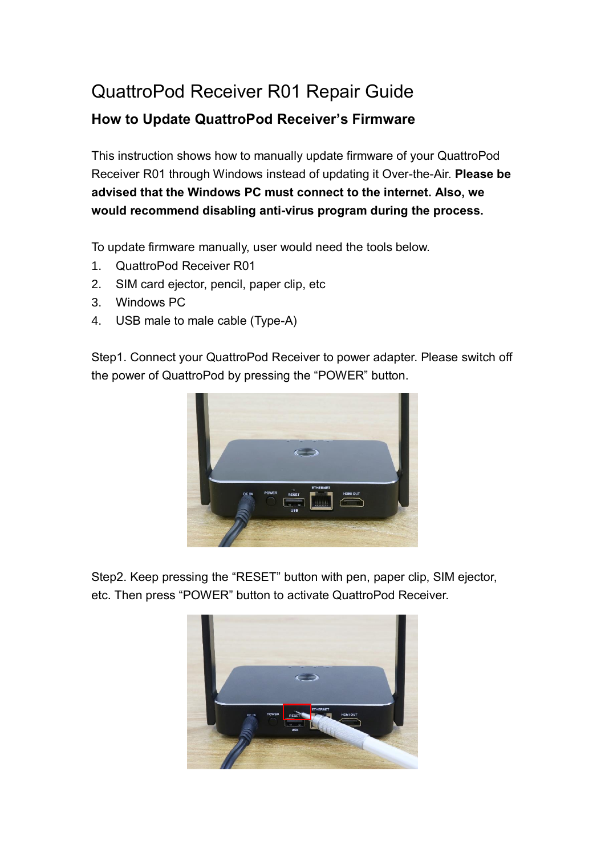## QuattroPod Receiver R01 Repair Guide

## **How to Update QuattroPod Receiver's Firmware**

This instruction shows how to manually update firmware of your QuattroPod Receiver R01 through Windows instead of updating it Over-the-Air. **Please be advised that the Windows PC must connect to the internet. Also, we would recommend disabling anti-virus program during the process.**

To update firmware manually, user would need the tools below.

- 1. QuattroPod Receiver R01
- 2. SIM card ejector, pencil, paper clip, etc
- 3. Windows PC
- 4. USB male to male cable (Type-A)

Step1. Connect your QuattroPod Receiver to power adapter. Please switch off the power of QuattroPod by pressing the "POWER" button.



Step2. Keep pressing the "RESET" button with pen, paper clip, SIM ejector, etc. Then press "POWER" button to activate QuattroPod Receiver.

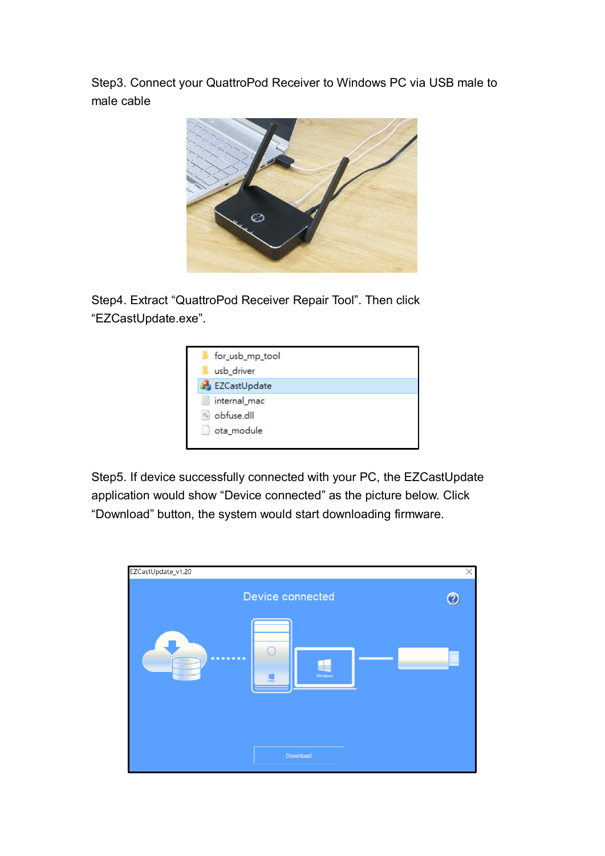Step3. Connect your QuattroPod Receiver to Windows PC via USB male to male cable



Step4. Extract "QuattroPod Receiver Repair Tool". Then click "EZCastUpdate.exe".



Step5. If device successfully connected with your PC, the EZCastUpdate application would show "Device connected" as the picture below. Click "Download" button, the system would start downloading firmware.

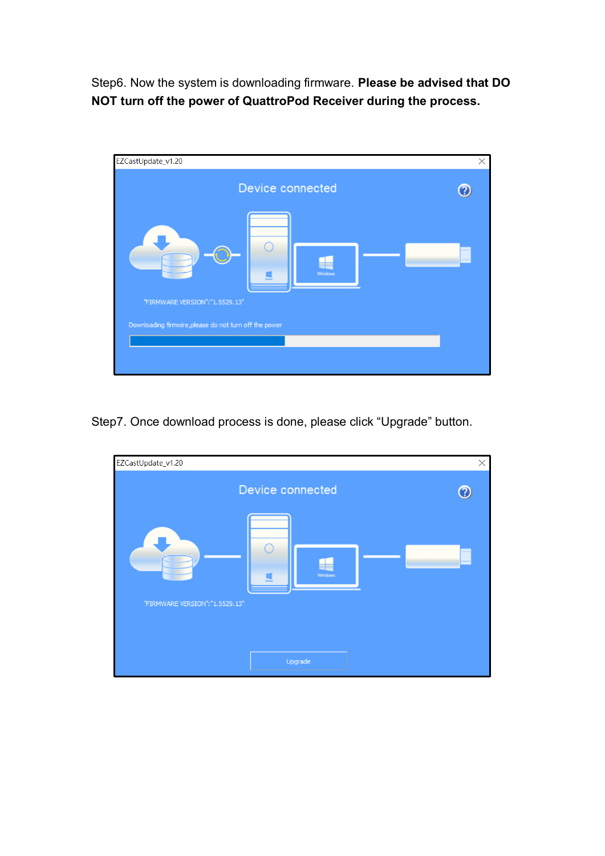Step6. Now the system is downloading firmware. **Please be advised that DO NOT turn off the power of QuattroPod Receiver during the process.**



Step7. Once download process is done, please click "Upgrade" button.